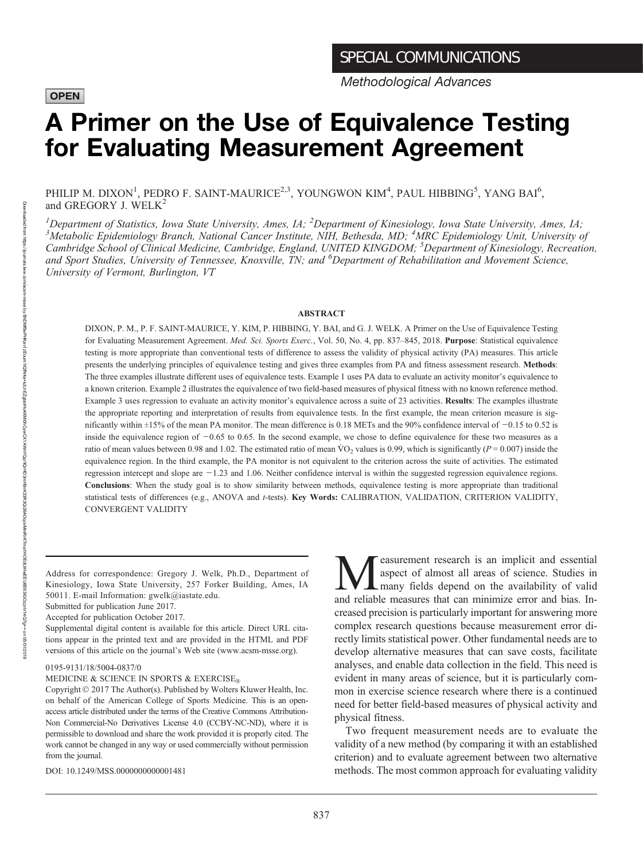### **OPEN**

Methodological Advances

# A Primer on the Use of Equivalence Testing for Evaluating Measurement Agreement

PHILIP M. DIXON<sup>1</sup>, PEDRO F. SAINT-MAURICE<sup>2,3</sup>, YOUNGWON KIM<sup>4</sup>, PAUL HIBBING<sup>5</sup>, YANG BAI<sup>6</sup>, and GREGORY J. WELK<sup>2</sup>

<sup>1</sup>Department of Statistics, Iowa State University, Ames, IA; <sup>2</sup>Department of Kinesiology, Iowa State University, Ames, IA;<br><sup>3</sup>Metabolic Enidemiology Branch National Cancer Institute NIH, Bethesda, MD; <sup>4</sup>MPC Enidemiolog Metabolic Epidemiology Branch, National Cancer Institute, NIH, Bethesda, MD; <sup>4</sup>MRC Epidemiology Unit, University of Cambridge School of Clinical Medicine, Cambridge, England, UNITED KINGDOM; <sup>5</sup>Department of Kinesiology, Recreation, and Sport Studies, University of Tennessee, Knoxville, TN; and <sup>6</sup>Department of Rehabilitation and Movement Science, University of Vermont, Burlington, VT

#### ABSTRACT

DIXON, P. M., P. F. SAINT-MAURICE, Y. KIM, P. HIBBING, Y. BAI, and G. J. WELK. A Primer on the Use of Equivalence Testing for Evaluating Measurement Agreement. Med. Sci. Sports Exerc., Vol. 50, No. 4, pp. 837-845, 2018. Purpose: Statistical equivalence testing is more appropriate than conventional tests of difference to assess the validity of physical activity (PA) measures. This article presents the underlying principles of equivalence testing and gives three examples from PA and fitness assessment research. Methods: The three examples illustrate different uses of equivalence tests. Example 1 uses PA data to evaluate an activity monitor's equivalence to a known criterion. Example 2 illustrates the equivalence of two field-based measures of physical fitness with no known reference method. Example 3 uses regression to evaluate an activity monitor's equivalence across a suite of 23 activities. Results: The examples illustrate the appropriate reporting and interpretation of results from equivalence tests. In the first example, the mean criterion measure is significantly within  $\pm 15\%$  of the mean PA monitor. The mean difference is 0.18 METs and the 90% confidence interval of  $-0.15$  to 0.52 is inside the equivalence region of  $-0.65$  to 0.65. In the second example, we chose to define equivalence for these two measures as a ratio of mean values between 0.98 and 1.02. The estimated ratio of mean  $\rm{VO}_2$  values is 0.99, which is significantly ( $P = 0.007$ ) inside the equivalence region. In the third example, the PA monitor is not equivalent to the criterion across the suite of activities. The estimated regression intercept and slope are  $-1.23$  and 1.06. Neither confidence interval is within the suggested regression equivalence regions. Conclusions: When the study goal is to show similarity between methods, equivalence testing is more appropriate than traditional statistical tests of differences (e.g., ANOVA and t-tests). Key Words: CALIBRATION, VALIDATION, CRITERION VALIDITY, CONVERGENT VALIDITY

Address for correspondence: Gregory J. Welk, Ph.D., Department of Kinesiology, Iowa State University, 257 Forker Building, Ames, IA 50011. E-mail Information: [gwelk@iastate.edu.](mailto:gwelk@iastate.edu)

Supplemental digital content is available for this article. Direct URL citations appear in the printed text and are provided in the HTML and PDF versions of this article on the journal's Web site [\(www.acsm-msse.org](http://www.acsm-msse.org)).

0195-9131/18/5004-0837/0

MEDICINE & SCIENCE IN SPORTS & EXERCISE $_{\tiny \textcircled{\tiny \textcircled{\tiny 0}}}$ 

Copyright  $©$  2017 The Author(s). Published by Wolters Kluwer Health, Inc. on behalf of the American College of Sports Medicine. This is an openaccess article distributed under the terms of the [Creative Commons Attribution-](http://creativecommons.org/licenses/by-nc-nd/4.0/)[Non Commercial-No Derivatives License 4.0 \(CCBY-NC-ND\)](http://creativecommons.org/licenses/by-nc-nd/4.0/), where it is permissible to download and share the work provided it is properly cited. The work cannot be changed in any way or used commercially without permission from the journal.

DOI: 10.1249/MSS.0000000000001481

**M**easurement research is an implicit and essential<br>and reliable measures that can minimize error and hias Inaspect of almost all areas of science. Studies in many fields depend on the availability of valid and reliable measures that can minimize error and bias. Increased precision is particularly important for answering more complex research questions because measurement error directly limits statistical power. Other fundamental needs are to develop alternative measures that can save costs, facilitate analyses, and enable data collection in the field. This need is evident in many areas of science, but it is particularly common in exercise science research where there is a continued need for better field-based measures of physical activity and physical fitness.

Two frequent measurement needs are to evaluate the validity of a new method (by comparing it with an established criterion) and to evaluate agreement between two alternative methods. The most common approach for evaluating validity

Downloaded

Submitted for publication June 2017.

Accepted for publication October 2017.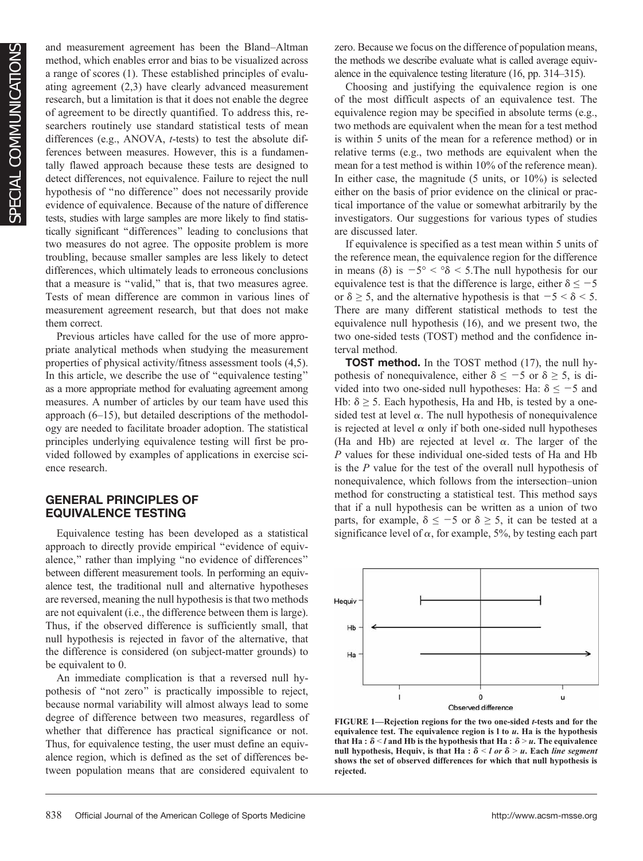and measurement agreement has been the Bland–Altman method, which enables error and bias to be visualized across a range of scores (1). These established principles of evaluating agreement (2,3) have clearly advanced measurement research, but a limitation is that it does not enable the degree of agreement to be directly quantified. To address this, researchers routinely use standard statistical tests of mean differences (e.g., ANOVA, t-tests) to test the absolute differences between measures. However, this is a fundamentally flawed approach because these tests are designed to detect differences, not equivalence. Failure to reject the null hypothesis of ''no difference'' does not necessarily provide evidence of equivalence. Because of the nature of difference tests, studies with large samples are more likely to find statistically significant ''differences'' leading to conclusions that two measures do not agree. The opposite problem is more troubling, because smaller samples are less likely to detect differences, which ultimately leads to erroneous conclusions that a measure is ''valid,'' that is, that two measures agree. Tests of mean difference are common in various lines of measurement agreement research, but that does not make them correct.

Previous articles have called for the use of more appropriate analytical methods when studying the measurement properties of physical activity/fitness assessment tools (4,5). In this article, we describe the use of ''equivalence testing'' as a more appropriate method for evaluating agreement among measures. A number of articles by our team have used this approach (6–15), but detailed descriptions of the methodology are needed to facilitate broader adoption. The statistical principles underlying equivalence testing will first be provided followed by examples of applications in exercise science research.

### GENERAL PRINCIPLES OF EQUIVALENCE TESTING

Equivalence testing has been developed as a statistical approach to directly provide empirical ''evidence of equivalence," rather than implying "no evidence of differences" between different measurement tools. In performing an equivalence test, the traditional null and alternative hypotheses are reversed, meaning the null hypothesis is that two methods are not equivalent (i.e., the difference between them is large). Thus, if the observed difference is sufficiently small, that null hypothesis is rejected in favor of the alternative, that the difference is considered (on subject-matter grounds) to be equivalent to 0.

An immediate complication is that a reversed null hypothesis of ''not zero'' is practically impossible to reject, because normal variability will almost always lead to some degree of difference between two measures, regardless of whether that difference has practical significance or not. Thus, for equivalence testing, the user must define an equivalence region, which is defined as the set of differences between population means that are considered equivalent to zero. Because we focus on the difference of population means, the methods we describe evaluate what is called average equivalence in the equivalence testing literature (16, pp. 314–315).

Choosing and justifying the equivalence region is one of the most difficult aspects of an equivalence test. The equivalence region may be specified in absolute terms (e.g., two methods are equivalent when the mean for a test method is within 5 units of the mean for a reference method) or in relative terms (e.g., two methods are equivalent when the mean for a test method is within 10% of the reference mean). In either case, the magnitude (5 units, or 10%) is selected either on the basis of prior evidence on the clinical or practical importance of the value or somewhat arbitrarily by the investigators. Our suggestions for various types of studies are discussed later.

If equivalence is specified as a test mean within 5 units of the reference mean, the equivalence region for the difference in means ( $\delta$ ) is  $-5^{\circ} < \delta < 5$ . The null hypothesis for our equivalence test is that the difference is large, either  $\delta \leq -5$ or  $\delta \geq 5$ , and the alternative hypothesis is that  $-5 < \delta < 5$ . There are many different statistical methods to test the equivalence null hypothesis (16), and we present two, the two one-sided tests (TOST) method and the confidence interval method.

**TOST method.** In the TOST method (17), the null hypothesis of nonequivalence, either  $\delta \le -5$  or  $\delta \ge 5$ , is divided into two one-sided null hypotheses: Ha:  $\delta \le -5$  and Hb:  $\delta \geq 5$ . Each hypothesis, Ha and Hb, is tested by a onesided test at level  $\alpha$ . The null hypothesis of nonequivalence is rejected at level  $\alpha$  only if both one-sided null hypotheses (Ha and Hb) are rejected at level  $\alpha$ . The larger of the P values for these individual one-sided tests of Ha and Hb is the P value for the test of the overall null hypothesis of nonequivalence, which follows from the intersection–union method for constructing a statistical test. This method says that if a null hypothesis can be written as a union of two parts, for example,  $\delta \le -5$  or  $\delta \ge 5$ , it can be tested at a significance level of  $\alpha$ , for example, 5%, by testing each part



FIGURE 1—Rejection regions for the two one-sided t-tests and for the equivalence test. The equivalence region is  $l$  to  $u$ . Ha is the hypothesis that Ha :  $\delta$  < l and Hb is the hypothesis that Ha :  $\delta$  > u. The equivalence null hypothesis, Hequiv, is that Ha :  $\delta$  < l or  $\delta$  > u. Each line segment shows the set of observed differences for which that null hypothesis is rejected.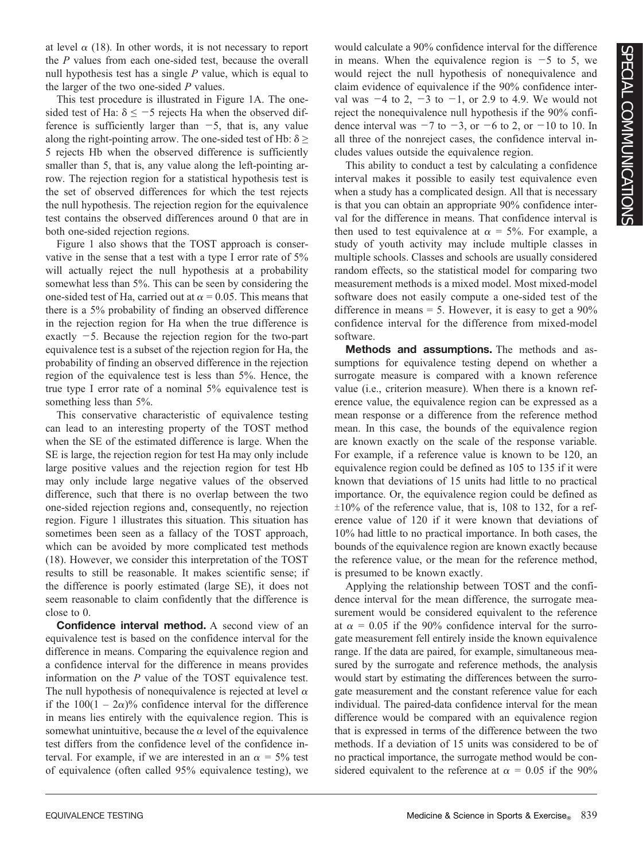at level  $\alpha$  (18). In other words, it is not necessary to report the P values from each one-sided test, because the overall null hypothesis test has a single  $P$  value, which is equal to the larger of the two one-sided  $P$  values.

This test procedure is illustrated in Figure 1A. The onesided test of Ha:  $\delta \le -5$  rejects Ha when the observed difference is sufficiently larger than  $-5$ , that is, any value along the right-pointing arrow. The one-sided test of Hb:  $\delta \geq$ 5 rejects Hb when the observed difference is sufficiently smaller than 5, that is, any value along the left-pointing arrow. The rejection region for a statistical hypothesis test is the set of observed differences for which the test rejects the null hypothesis. The rejection region for the equivalence test contains the observed differences around 0 that are in both one-sided rejection regions.

Figure 1 also shows that the TOST approach is conservative in the sense that a test with a type I error rate of 5% will actually reject the null hypothesis at a probability somewhat less than 5%. This can be seen by considering the one-sided test of Ha, carried out at  $\alpha = 0.05$ . This means that there is a 5% probability of finding an observed difference in the rejection region for Ha when the true difference is exactly  $-5$ . Because the rejection region for the two-part equivalence test is a subset of the rejection region for Ha, the probability of finding an observed difference in the rejection region of the equivalence test is less than 5%. Hence, the true type I error rate of a nominal 5% equivalence test is something less than 5%.

This conservative characteristic of equivalence testing can lead to an interesting property of the TOST method when the SE of the estimated difference is large. When the SE is large, the rejection region for test Ha may only include large positive values and the rejection region for test Hb may only include large negative values of the observed difference, such that there is no overlap between the two one-sided rejection regions and, consequently, no rejection region. Figure 1 illustrates this situation. This situation has sometimes been seen as a fallacy of the TOST approach, which can be avoided by more complicated test methods (18). However, we consider this interpretation of the TOST results to still be reasonable. It makes scientific sense; if the difference is poorly estimated (large SE), it does not seem reasonable to claim confidently that the difference is close to 0.

**Confidence interval method.** A second view of an equivalence test is based on the confidence interval for the difference in means. Comparing the equivalence region and a confidence interval for the difference in means provides information on the P value of the TOST equivalence test. The null hypothesis of nonequivalence is rejected at level  $\alpha$ if the  $100(1 - 2\alpha)$ % confidence interval for the difference in means lies entirely with the equivalence region. This is somewhat unintuitive, because the  $\alpha$  level of the equivalence test differs from the confidence level of the confidence interval. For example, if we are interested in an  $\alpha = 5\%$  test of equivalence (often called 95% equivalence testing), we

would calculate a 90% confidence interval for the difference in means. When the equivalence region is  $-5$  to 5, we would reject the null hypothesis of nonequivalence and claim evidence of equivalence if the 90% confidence interval was  $-4$  to 2,  $-3$  to  $-1$ , or 2.9 to 4.9. We would not reject the nonequivalence null hypothesis if the 90% confidence interval was  $-7$  to  $-3$ , or  $-6$  to 2, or  $-10$  to 10. In all three of the nonreject cases, the confidence interval includes values outside the equivalence region.

This ability to conduct a test by calculating a confidence interval makes it possible to easily test equivalence even when a study has a complicated design. All that is necessary is that you can obtain an appropriate 90% confidence interval for the difference in means. That confidence interval is then used to test equivalence at  $\alpha = 5\%$ . For example, a study of youth activity may include multiple classes in multiple schools. Classes and schools are usually considered random effects, so the statistical model for comparing two measurement methods is a mixed model. Most mixed-model software does not easily compute a one-sided test of the difference in means  $= 5$ . However, it is easy to get a 90% confidence interval for the difference from mixed-model software.

Methods and assumptions. The methods and assumptions for equivalence testing depend on whether a surrogate measure is compared with a known reference value (i.e., criterion measure). When there is a known reference value, the equivalence region can be expressed as a mean response or a difference from the reference method mean. In this case, the bounds of the equivalence region are known exactly on the scale of the response variable. For example, if a reference value is known to be 120, an equivalence region could be defined as 105 to 135 if it were known that deviations of 15 units had little to no practical importance. Or, the equivalence region could be defined as  $\pm 10\%$  of the reference value, that is, 108 to 132, for a reference value of 120 if it were known that deviations of 10% had little to no practical importance. In both cases, the bounds of the equivalence region are known exactly because the reference value, or the mean for the reference method, is presumed to be known exactly.

Applying the relationship between TOST and the confidence interval for the mean difference, the surrogate measurement would be considered equivalent to the reference at  $\alpha = 0.05$  if the 90% confidence interval for the surrogate measurement fell entirely inside the known equivalence range. If the data are paired, for example, simultaneous measured by the surrogate and reference methods, the analysis would start by estimating the differences between the surrogate measurement and the constant reference value for each individual. The paired-data confidence interval for the mean difference would be compared with an equivalence region that is expressed in terms of the difference between the two methods. If a deviation of 15 units was considered to be of no practical importance, the surrogate method would be considered equivalent to the reference at  $\alpha = 0.05$  if the 90%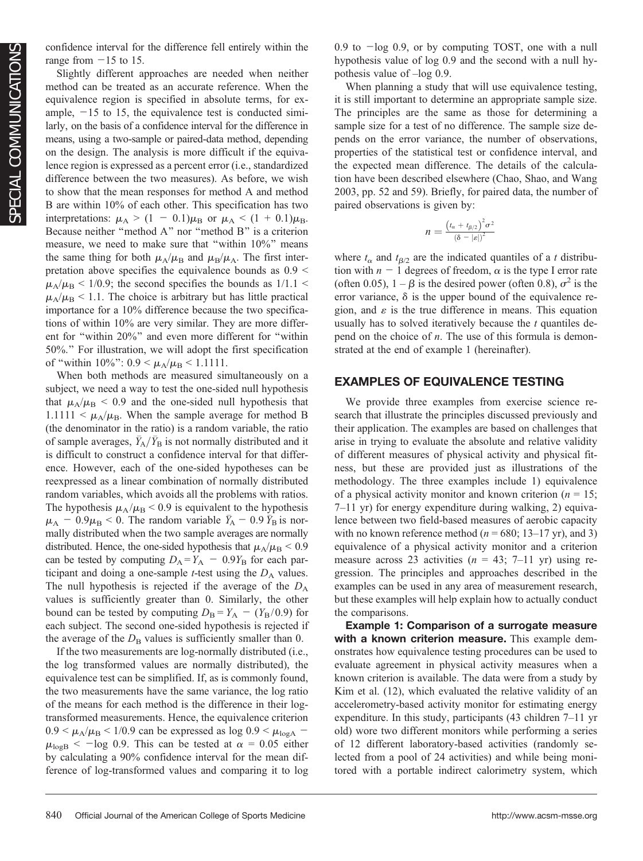confidence interval for the difference fell entirely within the range from  $-15$  to 15.

Slightly different approaches are needed when neither method can be treated as an accurate reference. When the equivalence region is specified in absolute terms, for example,  $-15$  to 15, the equivalence test is conducted similarly, on the basis of a confidence interval for the difference in means, using a two-sample or paired-data method, depending on the design. The analysis is more difficult if the equivalence region is expressed as a percent error (i.e., standardized difference between the two measures). As before, we wish to show that the mean responses for method A and method B are within 10% of each other. This specification has two interpretations:  $\mu_A > (1 - 0.1)\mu_B$  or  $\mu_A < (1 + 0.1)\mu_B$ . Because neither "method A" nor "method B" is a criterion measure, we need to make sure that "within 10%" means the same thing for both  $\mu_A/\mu_B$  and  $\mu_B/\mu_A$ . The first interpretation above specifies the equivalence bounds as  $0.9 <$  $\mu_A/\mu_B$  < 1/0.9; the second specifies the bounds as 1/1.1 <  $\mu_A/\mu_B$  < 1.1. The choice is arbitrary but has little practical importance for a 10% difference because the two specifications of within 10% are very similar. They are more different for ''within 20%'' and even more different for ''within 50%.'' For illustration, we will adopt the first specification of "within 10%":  $0.9 < \mu_A/\mu_B < 1.1111$ .

When both methods are measured simultaneously on a subject, we need a way to test the one-sided null hypothesis that  $\mu_A/\mu_B$  < 0.9 and the one-sided null hypothesis that  $1.1111 < \mu_A/\mu_B$ . When the sample average for method B (the denominator in the ratio) is a random variable, the ratio of sample averages,  $\bar{Y}_A/\bar{Y}_B$  is not normally distributed and it is difficult to construct a confidence interval for that difference. However, each of the one-sided hypotheses can be reexpressed as a linear combination of normally distributed random variables, which avoids all the problems with ratios. The hypothesis  $\mu_A/\mu_B$  < 0.9 is equivalent to the hypothesis  $\mu_A - 0.9 \mu_B < 0$ . The random variable  $\bar{Y}_A - 0.9 \bar{Y}_B$  is normally distributed when the two sample averages are normally distributed. Hence, the one-sided hypothesis that  $\mu_A/\mu_B < 0.9$ can be tested by computing  $D_A = Y_A - 0.9Y_B$  for each participant and doing a one-sample  $t$ -test using the  $D_A$  values. The null hypothesis is rejected if the average of the  $D_A$ values is sufficiently greater than 0. Similarly, the other bound can be tested by computing  $D_B = Y_A - (Y_B/0.9)$  for each subject. The second one-sided hypothesis is rejected if the average of the  $D_B$  values is sufficiently smaller than 0.

If the two measurements are log-normally distributed (i.e., the log transformed values are normally distributed), the equivalence test can be simplified. If, as is commonly found, the two measurements have the same variance, the log ratio of the means for each method is the difference in their logtransformed measurements. Hence, the equivalence criterion  $0.9 < \mu_A/\mu_B < 1/0.9$  can be expressed as log  $0.9 < \mu_{\text{logA}}$  –  $\mu_{\text{logB}}$  < -log 0.9. This can be tested at  $\alpha = 0.05$  either by calculating a 90% confidence interval for the mean difference of log-transformed values and comparing it to log 0.9 to  $-\log$  0.9, or by computing TOST, one with a null hypothesis value of log 0.9 and the second with a null hypothesis value of –log 0.9.

When planning a study that will use equivalence testing, it is still important to determine an appropriate sample size. The principles are the same as those for determining a sample size for a test of no difference. The sample size depends on the error variance, the number of observations, properties of the statistical test or confidence interval, and the expected mean difference. The details of the calculation have been described elsewhere (Chao, Shao, and Wang 2003, pp. 52 and 59). Briefly, for paired data, the number of paired observations is given by:

$$
n = \frac{(t_{\alpha} + t_{\beta/2})^2 \sigma^2}{(\delta - |\varepsilon|)^2}
$$

where  $t_{\alpha}$  and  $t_{\beta/2}$  are the indicated quantiles of a t distribution with  $n - 1$  degrees of freedom,  $\alpha$  is the type I error rate (often 0.05),  $1 - \beta$  is the desired power (often 0.8),  $\sigma^2$  is the error variance,  $\delta$  is the upper bound of the equivalence region, and  $\varepsilon$  is the true difference in means. This equation usually has to solved iteratively because the  $t$  quantiles depend on the choice of  $n$ . The use of this formula is demonstrated at the end of example 1 (hereinafter).

## EXAMPLES OF EQUIVALENCE TESTING

We provide three examples from exercise science research that illustrate the principles discussed previously and their application. The examples are based on challenges that arise in trying to evaluate the absolute and relative validity of different measures of physical activity and physical fitness, but these are provided just as illustrations of the methodology. The three examples include 1) equivalence of a physical activity monitor and known criterion ( $n = 15$ ; 7–11 yr) for energy expenditure during walking, 2) equivalence between two field-based measures of aerobic capacity with no known reference method ( $n = 680$ ; 13–17 yr), and 3) equivalence of a physical activity monitor and a criterion measure across 23 activities ( $n = 43$ ; 7–11 yr) using regression. The principles and approaches described in the examples can be used in any area of measurement research, but these examples will help explain how to actually conduct the comparisons.

Example 1: Comparison of a surrogate measure with a known criterion measure. This example demonstrates how equivalence testing procedures can be used to evaluate agreement in physical activity measures when a known criterion is available. The data were from a study by Kim et al. (12), which evaluated the relative validity of an accelerometry-based activity monitor for estimating energy expenditure. In this study, participants (43 children 7–11 yr old) wore two different monitors while performing a series of 12 different laboratory-based activities (randomly selected from a pool of 24 activities) and while being monitored with a portable indirect calorimetry system, which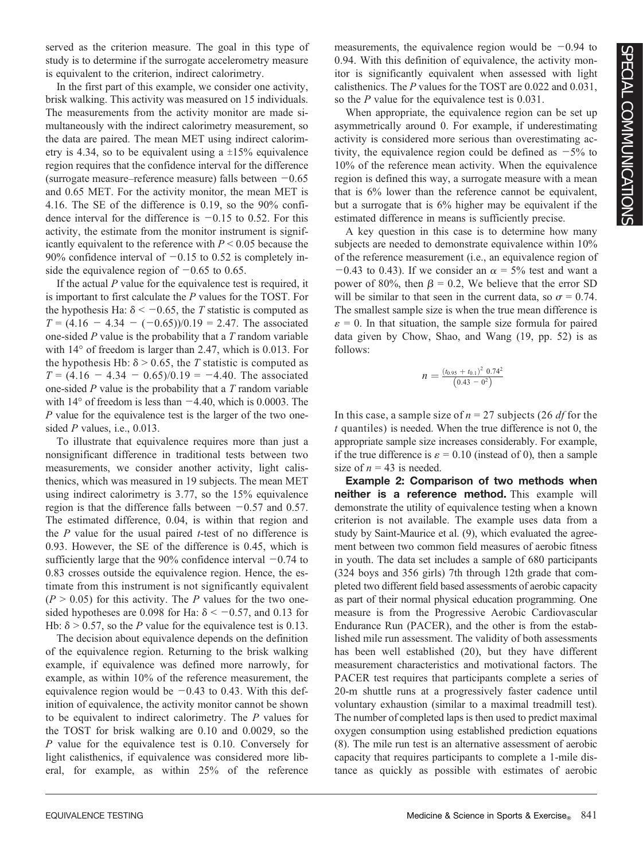served as the criterion measure. The goal in this type of study is to determine if the surrogate accelerometry measure is equivalent to the criterion, indirect calorimetry.

In the first part of this example, we consider one activity, brisk walking. This activity was measured on 15 individuals. The measurements from the activity monitor are made simultaneously with the indirect calorimetry measurement, so the data are paired. The mean MET using indirect calorimetry is 4.34, so to be equivalent using a  $\pm 15\%$  equivalence region requires that the confidence interval for the difference (surrogate measure–reference measure) falls between  $-0.65$ and 0.65 MET. For the activity monitor, the mean MET is 4.16. The SE of the difference is 0.19, so the 90% confidence interval for the difference is  $-0.15$  to 0.52. For this activity, the estimate from the monitor instrument is significantly equivalent to the reference with  $P \le 0.05$  because the 90% confidence interval of  $-0.15$  to 0.52 is completely inside the equivalence region of  $-0.65$  to 0.65.

If the actual  $P$  value for the equivalence test is required, it is important to first calculate the P values for the TOST. For the hypothesis Ha:  $\delta$  < -0.65, the T statistic is computed as  $T = (4.16 - 4.34 - (-0.65))/0.19 = 2.47$ . The associated one-sided  $P$  value is the probability that a  $T$  random variable with  $14^{\circ}$  of freedom is larger than 2.47, which is 0.013. For the hypothesis Hb:  $\delta$  > 0.65, the T statistic is computed as  $T = (4.16 - 4.34 - 0.65)/0.19 = -4.40$ . The associated one-sided  $P$  value is the probability that a  $T$  random variable with  $14^{\circ}$  of freedom is less than  $-4.40$ , which is 0.0003. The P value for the equivalence test is the larger of the two onesided *P* values, i.e., 0.013.

To illustrate that equivalence requires more than just a nonsignificant difference in traditional tests between two measurements, we consider another activity, light calisthenics, which was measured in 19 subjects. The mean MET using indirect calorimetry is 3.77, so the 15% equivalence region is that the difference falls between  $-0.57$  and 0.57. The estimated difference, 0.04, is within that region and the  $P$  value for the usual paired  $t$ -test of no difference is 0.93. However, the SE of the difference is 0.45, which is sufficiently large that the 90% confidence interval  $-0.74$  to 0.83 crosses outside the equivalence region. Hence, the estimate from this instrument is not significantly equivalent  $(P > 0.05)$  for this activity. The P values for the two onesided hypotheses are 0.098 for Ha:  $\delta$  < -0.57, and 0.13 for Hb:  $\delta$  > 0.57, so the *P* value for the equivalence test is 0.13.

The decision about equivalence depends on the definition of the equivalence region. Returning to the brisk walking example, if equivalence was defined more narrowly, for example, as within 10% of the reference measurement, the equivalence region would be  $-0.43$  to 0.43. With this definition of equivalence, the activity monitor cannot be shown to be equivalent to indirect calorimetry. The P values for the TOST for brisk walking are 0.10 and 0.0029, so the P value for the equivalence test is 0.10. Conversely for light calisthenics, if equivalence was considered more liberal, for example, as within 25% of the reference

measurements, the equivalence region would be  $-0.94$  to 0.94. With this definition of equivalence, the activity monitor is significantly equivalent when assessed with light calisthenics. The P values for the TOST are 0.022 and 0.031, so the P value for the equivalence test is 0.031.

When appropriate, the equivalence region can be set up asymmetrically around 0. For example, if underestimating activity is considered more serious than overestimating activity, the equivalence region could be defined as  $-5\%$  to 10% of the reference mean activity. When the equivalence region is defined this way, a surrogate measure with a mean that is 6% lower than the reference cannot be equivalent, but a surrogate that is 6% higher may be equivalent if the estimated difference in means is sufficiently precise.

A key question in this case is to determine how many subjects are needed to demonstrate equivalence within 10% of the reference measurement (i.e., an equivalence region of  $-0.43$  to 0.43). If we consider an  $\alpha = 5\%$  test and want a power of 80%, then  $\beta = 0.2$ , We believe that the error SD will be similar to that seen in the current data, so  $\sigma = 0.74$ . The smallest sample size is when the true mean difference is  $\varepsilon = 0$ . In that situation, the sample size formula for paired data given by Chow, Shao, and Wang (19, pp. 52) is as follows:

$$
n = \frac{(t_{0.95} + t_{0.1})^2 \ 0.74^2}{(0.43 - 0^2)}
$$

In this case, a sample size of  $n = 27$  subjects (26 df for the  $t$  quantiles) is needed. When the true difference is not 0, the appropriate sample size increases considerably. For example, if the true difference is  $\varepsilon = 0.10$  (instead of 0), then a sample size of  $n = 43$  is needed.

Example 2: Comparison of two methods when neither is a reference method. This example will demonstrate the utility of equivalence testing when a known criterion is not available. The example uses data from a study by Saint-Maurice et al. (9), which evaluated the agreement between two common field measures of aerobic fitness in youth. The data set includes a sample of 680 participants (324 boys and 356 girls) 7th through 12th grade that completed two different field based assessments of aerobic capacity as part of their normal physical education programming. One measure is from the Progressive Aerobic Cardiovascular Endurance Run (PACER), and the other is from the established mile run assessment. The validity of both assessments has been well established (20), but they have different measurement characteristics and motivational factors. The PACER test requires that participants complete a series of 20-m shuttle runs at a progressively faster cadence until voluntary exhaustion (similar to a maximal treadmill test). The number of completed laps is then used to predict maximal oxygen consumption using established prediction equations (8). The mile run test is an alternative assessment of aerobic capacity that requires participants to complete a 1-mile distance as quickly as possible with estimates of aerobic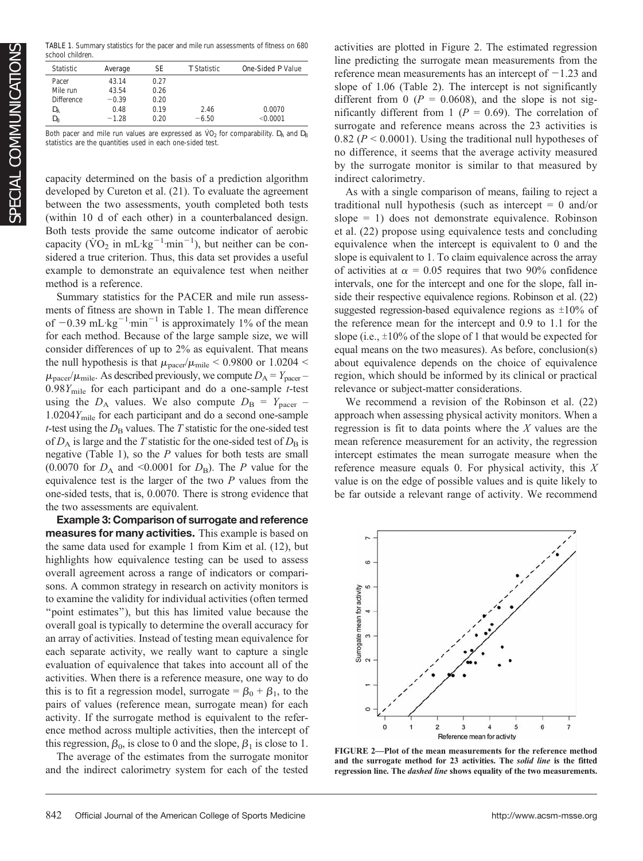TABLE 1. Summary statistics for the pacer and mile run assessments of fitness on 680 school children.

| <b>Statistic</b>  | Average | SF   | T Statistic | One-Sided P Value |
|-------------------|---------|------|-------------|-------------------|
|                   |         |      |             |                   |
| Pacer             | 43.14   | 0.27 |             |                   |
| Mile run          | 43.54   | 0.26 |             |                   |
| <b>Difference</b> | $-0.39$ | 0.20 |             |                   |
| $D_{\rm A}$       | 0.48    | 0.19 | 2.46        | 0.0070            |
| $D_{\rm B}$       | $-1.28$ | 0.20 | $-6.50$     | $<$ 0.0001        |

Both pacer and mile run values are expressed as  $VO<sub>2</sub>$  for comparability. D<sub>A</sub> and D<sub>B</sub> statistics are the quantities used in each one-sided test.

capacity determined on the basis of a prediction algorithm developed by Cureton et al. (21). To evaluate the agreement between the two assessments, youth completed both tests (within 10 d of each other) in a counterbalanced design. Both tests provide the same outcome indicator of aerobic capacity ( $\overline{VO}_2$  in mL·kg<sup>-1</sup>·min<sup>-1</sup>), but neither can be considered a true criterion. Thus, this data set provides a useful example to demonstrate an equivalence test when neither method is a reference.

Summary statistics for the PACER and mile run assessments of fitness are shown in Table 1. The mean difference of  $-0.39$  mL·kg<sup>-1</sup>·min<sup>-1</sup> is approximately 1% of the mean for each method. Because of the large sample size, we will consider differences of up to 2% as equivalent. That means the null hypothesis is that  $\mu_{\text{pace}}/\mu_{\text{mile}} < 0.9800$  or 1.0204  $<$  $\mu_{\text{pace}}/\mu_{\text{mile}}$ . As described previously, we compute  $D_A = Y_{\text{pace}} 0.98Y_{\text{mile}}$  for each participant and do a one-sample t-test using the  $D_A$  values. We also compute  $D_B = Y_{\text{pacer}}$  –  $1.0204Y<sub>mile</sub>$  for each participant and do a second one-sample t-test using the  $D<sub>B</sub>$  values. The T statistic for the one-sided test of  $D_A$  is large and the T statistic for the one-sided test of  $D_B$  is negative (Table 1), so the  $P$  values for both tests are small (0.0070 for  $D_A$  and <0.0001 for  $D_B$ ). The P value for the equivalence test is the larger of the two  $P$  values from the one-sided tests, that is, 0.0070. There is strong evidence that the two assessments are equivalent.

Example 3: Comparison of surrogate and reference measures for many activities. This example is based on the same data used for example 1 from Kim et al. (12), but highlights how equivalence testing can be used to assess overall agreement across a range of indicators or comparisons. A common strategy in research on activity monitors is to examine the validity for individual activities (often termed "point estimates"), but this has limited value because the overall goal is typically to determine the overall accuracy for an array of activities. Instead of testing mean equivalence for each separate activity, we really want to capture a single evaluation of equivalence that takes into account all of the activities. When there is a reference measure, one way to do this is to fit a regression model, surrogate =  $\beta_0 + \beta_1$ , to the pairs of values (reference mean, surrogate mean) for each activity. If the surrogate method is equivalent to the reference method across multiple activities, then the intercept of this regression,  $\beta_0$ , is close to 0 and the slope,  $\beta_1$  is close to 1.

The average of the estimates from the surrogate monitor and the indirect calorimetry system for each of the tested

activities are plotted in Figure 2. The estimated regression line predicting the surrogate mean measurements from the reference mean measurements has an intercept of  $-1.23$  and slope of 1.06 (Table 2). The intercept is not significantly different from 0 ( $P = 0.0608$ ), and the slope is not significantly different from 1 ( $P = 0.69$ ). The correlation of surrogate and reference means across the 23 activities is 0.82 ( $P < 0.0001$ ). Using the traditional null hypotheses of no difference, it seems that the average activity measured by the surrogate monitor is similar to that measured by indirect calorimetry.

As with a single comparison of means, failing to reject a traditional null hypothesis (such as intercept  $= 0$  and/or slope = 1) does not demonstrate equivalence. Robinson et al. (22) propose using equivalence tests and concluding equivalence when the intercept is equivalent to 0 and the slope is equivalent to 1. To claim equivalence across the array of activities at  $\alpha = 0.05$  requires that two 90% confidence intervals, one for the intercept and one for the slope, fall inside their respective equivalence regions. Robinson et al. (22) suggested regression-based equivalence regions as  $\pm 10\%$  of the reference mean for the intercept and 0.9 to 1.1 for the slope (i.e.,  $\pm 10\%$  of the slope of 1 that would be expected for equal means on the two measures). As before, conclusion(s) about equivalence depends on the choice of equivalence region, which should be informed by its clinical or practical relevance or subject-matter considerations.

We recommend a revision of the Robinson et al. (22) approach when assessing physical activity monitors. When a regression is fit to data points where the  $X$  values are the mean reference measurement for an activity, the regression intercept estimates the mean surrogate measure when the reference measure equals 0. For physical activity, this  $X$ value is on the edge of possible values and is quite likely to be far outside a relevant range of activity. We recommend



FIGURE 2—Plot of the mean measurements for the reference method and the surrogate method for 23 activities. The solid line is the fitted regression line. The dashed line shows equality of the two measurements.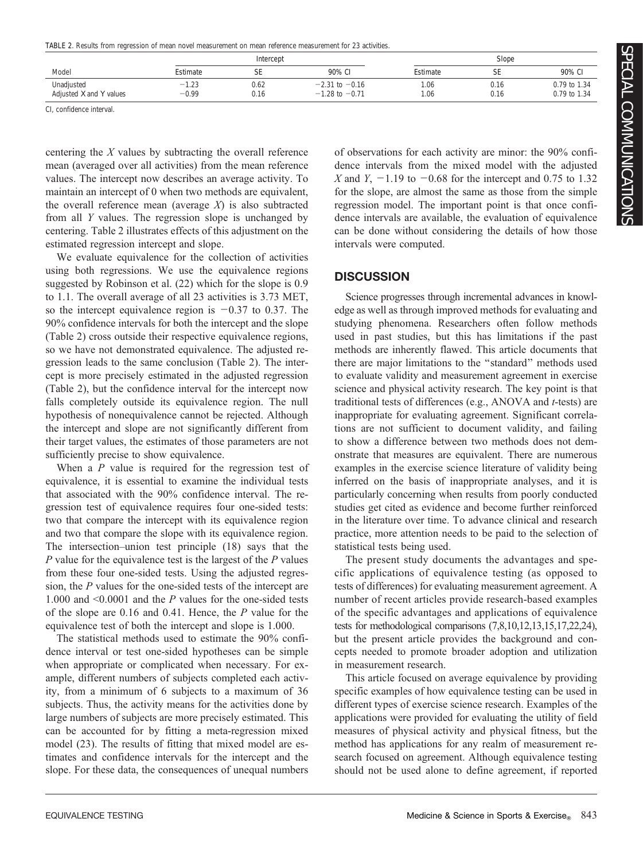TABLE 2. Results from regression of mean novel measurement on mean reference measurement for 23 activities.

|                         |             | Intercept |                    |          | Slope |              |  |
|-------------------------|-------------|-----------|--------------------|----------|-------|--------------|--|
| Model                   | Estimate    | cг<br>ЪE  | 90% CI             | Estimate | cг    | 90% CI       |  |
| Unadjusted              | 1.23<br>- 1 | 0.62      | $-2.31$ to $-0.16$ | . 06     | 0.16  | 0.79 to 1.34 |  |
| Adjusted X and Y values | $-0.99$     | 0.16      | $-1.28$ to $-0.71$ | .06      | 0.16  | 0.79 to 1.34 |  |

CI, confidence interval.

centering the  $X$  values by subtracting the overall reference mean (averaged over all activities) from the mean reference values. The intercept now describes an average activity. To maintain an intercept of 0 when two methods are equivalent, the overall reference mean (average  $X$ ) is also subtracted from all Y values. The regression slope is unchanged by centering. Table 2 illustrates effects of this adjustment on the estimated regression intercept and slope.

We evaluate equivalence for the collection of activities using both regressions. We use the equivalence regions suggested by Robinson et al. (22) which for the slope is 0.9 to 1.1. The overall average of all 23 activities is 3.73 MET, so the intercept equivalence region is  $-0.37$  to 0.37. The 90% confidence intervals for both the intercept and the slope (Table 2) cross outside their respective equivalence regions, so we have not demonstrated equivalence. The adjusted regression leads to the same conclusion (Table 2). The intercept is more precisely estimated in the adjusted regression (Table 2), but the confidence interval for the intercept now falls completely outside its equivalence region. The null hypothesis of nonequivalence cannot be rejected. Although the intercept and slope are not significantly different from their target values, the estimates of those parameters are not sufficiently precise to show equivalence.

When a  $P$  value is required for the regression test of equivalence, it is essential to examine the individual tests that associated with the 90% confidence interval. The regression test of equivalence requires four one-sided tests: two that compare the intercept with its equivalence region and two that compare the slope with its equivalence region. The intersection–union test principle (18) says that the  $P$  value for the equivalence test is the largest of the  $P$  values from these four one-sided tests. Using the adjusted regression, the P values for the one-sided tests of the intercept are 1.000 and  $\leq 0.0001$  and the P values for the one-sided tests of the slope are 0.16 and 0.41. Hence, the P value for the equivalence test of both the intercept and slope is 1.000.

The statistical methods used to estimate the 90% confidence interval or test one-sided hypotheses can be simple when appropriate or complicated when necessary. For example, different numbers of subjects completed each activity, from a minimum of 6 subjects to a maximum of 36 subjects. Thus, the activity means for the activities done by large numbers of subjects are more precisely estimated. This can be accounted for by fitting a meta-regression mixed model (23). The results of fitting that mixed model are estimates and confidence intervals for the intercept and the slope. For these data, the consequences of unequal numbers

of observations for each activity are minor: the 90% confidence intervals from the mixed model with the adjusted X and Y,  $-1.19$  to  $-0.68$  for the intercept and 0.75 to 1.32 for the slope, are almost the same as those from the simple regression model. The important point is that once confidence intervals are available, the evaluation of equivalence can be done without considering the details of how those intervals were computed.

## **DISCUSSION**

Science progresses through incremental advances in knowledge as well as through improved methods for evaluating and studying phenomena. Researchers often follow methods used in past studies, but this has limitations if the past methods are inherently flawed. This article documents that there are major limitations to the ''standard'' methods used to evaluate validity and measurement agreement in exercise science and physical activity research. The key point is that traditional tests of differences (e.g., ANOVA and t-tests) are inappropriate for evaluating agreement. Significant correlations are not sufficient to document validity, and failing to show a difference between two methods does not demonstrate that measures are equivalent. There are numerous examples in the exercise science literature of validity being inferred on the basis of inappropriate analyses, and it is particularly concerning when results from poorly conducted studies get cited as evidence and become further reinforced in the literature over time. To advance clinical and research practice, more attention needs to be paid to the selection of statistical tests being used.

The present study documents the advantages and specific applications of equivalence testing (as opposed to tests of differences) for evaluating measurement agreement. A number of recent articles provide research-based examples of the specific advantages and applications of equivalence tests for methodological comparisons (7,8,10,12,13,15,17,22,24), but the present article provides the background and concepts needed to promote broader adoption and utilization in measurement research.

This article focused on average equivalence by providing specific examples of how equivalence testing can be used in different types of exercise science research. Examples of the applications were provided for evaluating the utility of field measures of physical activity and physical fitness, but the method has applications for any realm of measurement research focused on agreement. Although equivalence testing should not be used alone to define agreement, if reported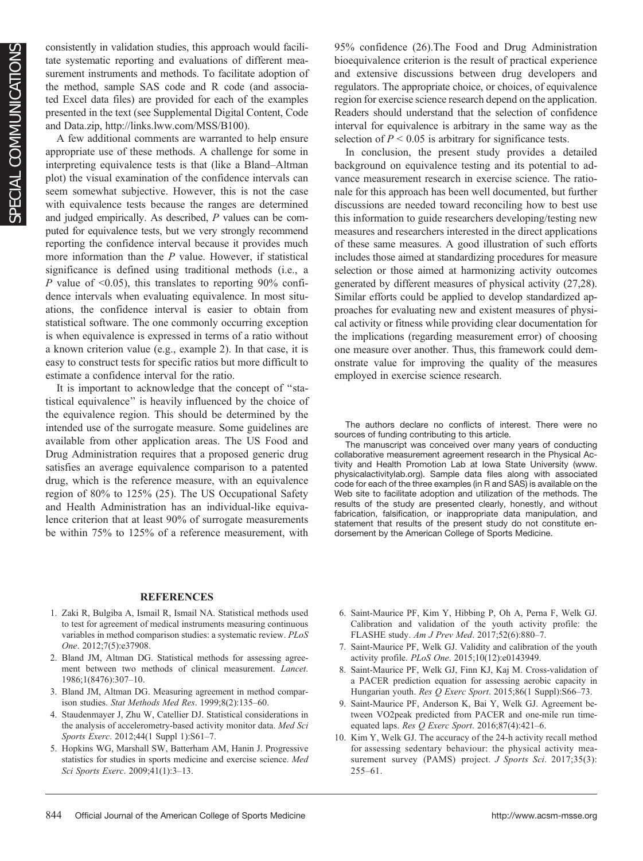consistently in validation studies, this approach would facilitate systematic reporting and evaluations of different measurement instruments and methods. To facilitate adoption of the method, sample SAS code and R code (and associated Excel data files) are provided for each of the examples presented in the text (see Supplemental Digital Content, Code and Data.zip, [http://links.lww.com/MSS/B100\)](http://links.lww.com/MSS/B100).

A few additional comments are warranted to help ensure appropriate use of these methods. A challenge for some in interpreting equivalence tests is that (like a Bland–Altman plot) the visual examination of the confidence intervals can seem somewhat subjective. However, this is not the case with equivalence tests because the ranges are determined and judged empirically. As described, P values can be computed for equivalence tests, but we very strongly recommend reporting the confidence interval because it provides much more information than the  $P$  value. However, if statistical significance is defined using traditional methods (i.e., a P value of  $\leq 0.05$ ), this translates to reporting 90% confidence intervals when evaluating equivalence. In most situations, the confidence interval is easier to obtain from statistical software. The one commonly occurring exception is when equivalence is expressed in terms of a ratio without a known criterion value (e.g., example 2). In that case, it is easy to construct tests for specific ratios but more difficult to estimate a confidence interval for the ratio.

It is important to acknowledge that the concept of ''statistical equivalence'' is heavily influenced by the choice of the equivalence region. This should be determined by the intended use of the surrogate measure. Some guidelines are available from other application areas. The US Food and Drug Administration requires that a proposed generic drug satisfies an average equivalence comparison to a patented drug, which is the reference measure, with an equivalence region of 80% to 125% (25). The US Occupational Safety and Health Administration has an individual-like equivalence criterion that at least 90% of surrogate measurements be within 75% to 125% of a reference measurement, with 95% confidence (26).The Food and Drug Administration bioequivalence criterion is the result of practical experience and extensive discussions between drug developers and regulators. The appropriate choice, or choices, of equivalence region for exercise science research depend on the application. Readers should understand that the selection of confidence interval for equivalence is arbitrary in the same way as the selection of  $P < 0.05$  is arbitrary for significance tests.

In conclusion, the present study provides a detailed background on equivalence testing and its potential to advance measurement research in exercise science. The rationale for this approach has been well documented, but further discussions are needed toward reconciling how to best use this information to guide researchers developing/testing new measures and researchers interested in the direct applications of these same measures. A good illustration of such efforts includes those aimed at standardizing procedures for measure selection or those aimed at harmonizing activity outcomes generated by different measures of physical activity (27,28). Similar efforts could be applied to develop standardized approaches for evaluating new and existent measures of physical activity or fitness while providing clear documentation for the implications (regarding measurement error) of choosing one measure over another. Thus, this framework could demonstrate value for improving the quality of the measures employed in exercise science research.

The authors declare no conflicts of interest. There were no sources of funding contributing to this article.

The manuscript was conceived over many years of conducting collaborative measurement agreement research in the Physical Activity and Health Promotion Lab at Iowa State University ([www.](http://www.physicalactivitylab.org) [physicalactivitylab.org\)](http://www.physicalactivitylab.org). Sample data files along with associated code for each of the three examples (in R and SAS) is available on the Web site to facilitate adoption and utilization of the methods. The results of the study are presented clearly, honestly, and without fabrication, falsification, or inappropriate data manipulation, and statement that results of the present study do not constitute endorsement by the American College of Sports Medicine.

#### **REFERENCES**

- 1. Zaki R, Bulgiba A, Ismail R, Ismail NA. Statistical methods used to test for agreement of medical instruments measuring continuous variables in method comparison studies: a systematic review. PLoS One. 2012;7(5):e37908.
- 2. Bland JM, Altman DG. Statistical methods for assessing agreement between two methods of clinical measurement. Lancet. 1986;1(8476):307–10.
- 3. Bland JM, Altman DG. Measuring agreement in method comparison studies. Stat Methods Med Res. 1999;8(2):135–60.
- 4. Staudenmayer J, Zhu W, Catellier DJ. Statistical considerations in the analysis of accelerometry-based activity monitor data. Med Sci Sports Exerc. 2012;44(1 Suppl 1):S61–7.
- 5. Hopkins WG, Marshall SW, Batterham AM, Hanin J. Progressive statistics for studies in sports medicine and exercise science. Med Sci Sports Exerc. 2009;41(1):3–13.
- 6. Saint-Maurice PF, Kim Y, Hibbing P, Oh A, Perna F, Welk GJ. Calibration and validation of the youth activity profile: the FLASHE study. Am J Prev Med. 2017;52(6):880–7.
- 7. Saint-Maurice PF, Welk GJ. Validity and calibration of the youth activity profile. PLoS One. 2015;10(12):e0143949.
- 8. Saint-Maurice PF, Welk GJ, Finn KJ, Kaj M. Cross-validation of a PACER prediction equation for assessing aerobic capacity in Hungarian youth. Res Q Exerc Sport. 2015;86(1 Suppl):S66-73.
- 9. Saint-Maurice PF, Anderson K, Bai Y, Welk GJ. Agreement between VO2peak predicted from PACER and one-mile run timeequated laps. Res  $Q$  Exerc Sport. 2016;87(4):421-6.
- 10. Kim Y, Welk GJ. The accuracy of the 24-h activity recall method for assessing sedentary behaviour: the physical activity measurement survey (PAMS) project. J Sports Sci. 2017;35(3): 255–61.